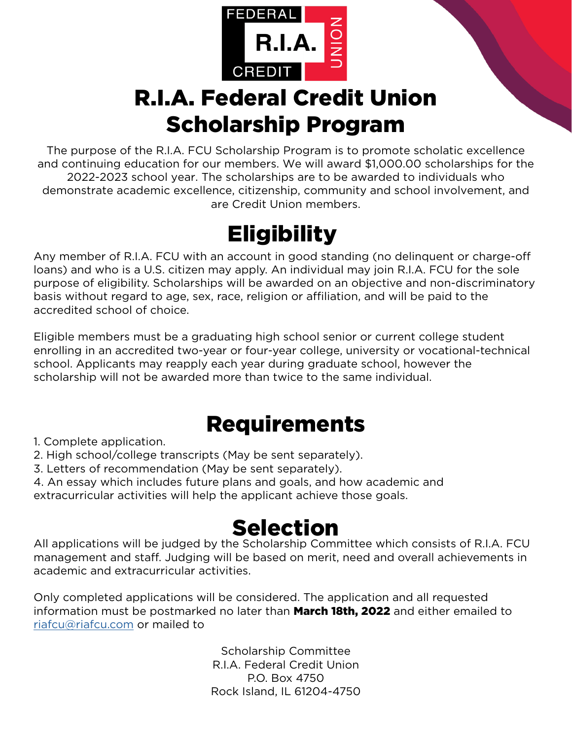

# R.I.A. Federal Credit Union Scholarship Program

The purpose of the R.I.A. FCU Scholarship Program is to promote scholatic excellence and continuing education for our members. We will award \$1,000.00 scholarships for the 2022-2023 school year. The scholarships are to be awarded to individuals who demonstrate academic excellence, citizenship, community and school involvement, and are Credit Union members.

# **Eligibility**

Any member of R.I.A. FCU with an account in good standing (no delinquent or charge-off loans) and who is a U.S. citizen may apply. An individual may join R.I.A. FCU for the sole purpose of eligibility. Scholarships will be awarded on an objective and non-discriminatory basis without regard to age, sex, race, religion or affiliation, and will be paid to the accredited school of choice.

Eligible members must be a graduating high school senior or current college student enrolling in an accredited two-year or four-year college, university or vocational-technical school. Applicants may reapply each year during graduate school, however the scholarship will not be awarded more than twice to the same individual.

## Requirements

1. Complete application.

- 2. High school/college transcripts (May be sent separately).
- 3. Letters of recommendation (May be sent separately).
- 4. An essay which includes future plans and goals, and how academic and

extracurricular activities will help the applicant achieve those goals.

## Selection

All applications will be judged by the Scholarship Committee which consists of R.I.A. FCU management and staff. Judging will be based on merit, need and overall achievements in academic and extracurricular activities.

Only completed applications will be considered. The application and all requested information must be postmarked no later than March 18th, 2022 and either emailed to [riafcu@riafcu.com](mailto:riafcu%40riafcu.com?subject=Scholarship%20Application%202022) or mailed to

> Scholarship Committee R.I.A. Federal Credit Union P.O. Box 4750 Rock Island, IL 61204-4750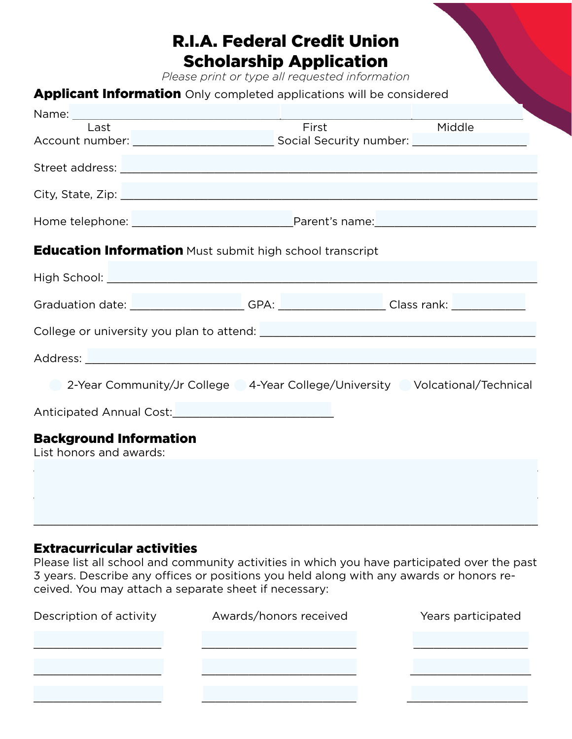### R.I.A. Federal Credit Union Scholarship Application

*Please print or type all requested information*

### Applicant Information Only completed applications will be considered

| Last                                                                             | <b>First</b> | Middle |
|----------------------------------------------------------------------------------|--------------|--------|
|                                                                                  |              |        |
|                                                                                  |              |        |
|                                                                                  |              |        |
|                                                                                  |              |        |
| <b>Education Information</b> Must submit high school transcript                  |              |        |
|                                                                                  |              |        |
| Graduation date: __________________GPA: _________________Class rank: ___________ |              |        |
|                                                                                  |              |        |
|                                                                                  |              |        |
| 2-Year Community/Jr College 4-Year College/University Volcational/Technical      |              |        |
| Anticipated Annual Cost:<br><u>Languara anno 1980</u>                            |              |        |
| <b>Background Information</b><br>List honors and awards:                         |              |        |
|                                                                                  |              |        |
|                                                                                  |              |        |
|                                                                                  |              |        |

#### Extracurricular activities

Please list all school and community activities in which you have participated over the past 3 years. Describe any offices or positions you held along with any awards or honors received. You may attach a separate sheet if necessary:

\_\_\_\_\_\_\_\_\_\_\_\_\_\_\_\_\_\_\_\_\_\_\_\_\_\_\_\_\_\_\_\_\_\_\_\_\_\_\_\_\_\_\_\_\_\_\_\_\_\_\_\_\_\_\_\_\_\_\_\_\_\_\_\_\_\_\_\_\_\_\_\_\_\_\_

| Description of activity | Awards/honors received | Years participated |
|-------------------------|------------------------|--------------------|
|                         |                        |                    |
|                         |                        |                    |
|                         |                        |                    |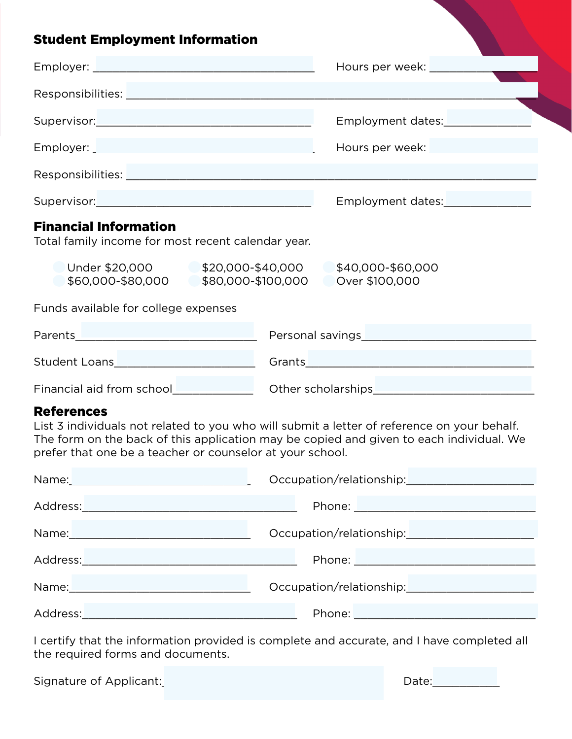### nt Employment Informatio

| Student Employment Information                                                                                                                                                                                                 |                   |
|--------------------------------------------------------------------------------------------------------------------------------------------------------------------------------------------------------------------------------|-------------------|
|                                                                                                                                                                                                                                | Hours per week:   |
|                                                                                                                                                                                                                                |                   |
| Supervisor: Supervisor:                                                                                                                                                                                                        | Employment dates: |
| Employer: Employer: Employer: Employer: Employer: Employer: Employer: Employer: Employer: Employer: Employer: Employer: Employer: Employer: Employer: Employer: Employer: Employer: Employer: Employer: Employer: Employer: Em | Hours per week:   |
|                                                                                                                                                                                                                                |                   |
| Supervisor: Supervisor:                                                                                                                                                                                                        | Employment dates: |
| <b>Financial Information</b>                                                                                                                                                                                                   |                   |

Total family income for most recent calendar year.

| Under \$20,000    | \$20,000-\$40,000  | \$40,000-\$60,000 |
|-------------------|--------------------|-------------------|
| \$60,000-\$80,000 | \$80,000-\$100,000 | Over \$100,000    |

Funds available for college expenses

| Parents                   | Personal savings   |
|---------------------------|--------------------|
| <b>Student Loans</b>      | Grants             |
| Financial aid from school | Other scholarships |

#### References

List 3 individuals not related to you who will submit a letter of reference on your behalf. The form on the back of this application may be copied and given to each individual. We prefer that one be a teacher or counselor at your school.

|                                                                                                                                                                                                                                | Occupation/relationship:                        |
|--------------------------------------------------------------------------------------------------------------------------------------------------------------------------------------------------------------------------------|-------------------------------------------------|
|                                                                                                                                                                                                                                | Phone: <u>_________________________________</u> |
|                                                                                                                                                                                                                                | Occupation/relationship:<br><u> </u>            |
| Address: Andreas Address: Address: Address: Address: Address: Address: Address: Address: Address: A                                                                                                                            |                                                 |
| Name: We have a state of the state of the state of the state of the state of the state of the state of the state of the state of the state of the state of the state of the state of the state of the state of the state of th |                                                 |
| Address:                                                                                                                                                                                                                       |                                                 |

I certify that the information provided is complete and accurate, and I have completed all the required forms and documents.

| Signature of Applicant: |  | Date: |  |
|-------------------------|--|-------|--|
|-------------------------|--|-------|--|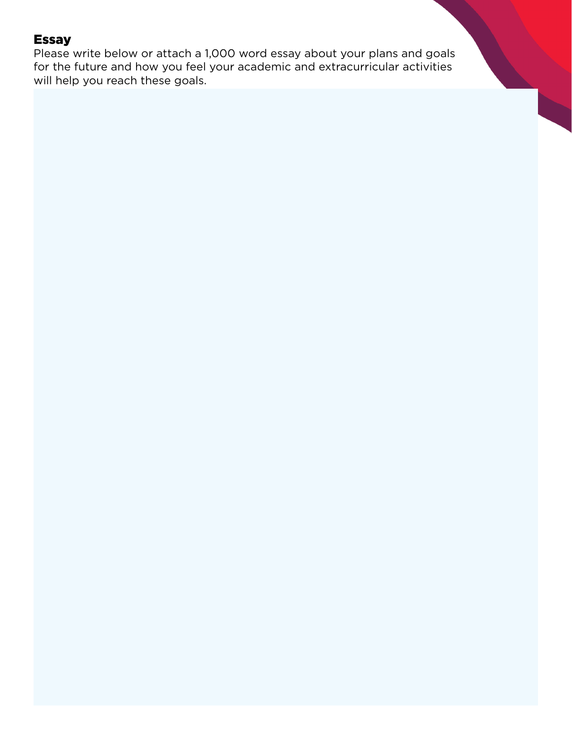#### Essay

Please write below or attach a 1,000 word essay about your plans and goals for the future and how you feel your academic and extracurricular activities will help you reach these goals.